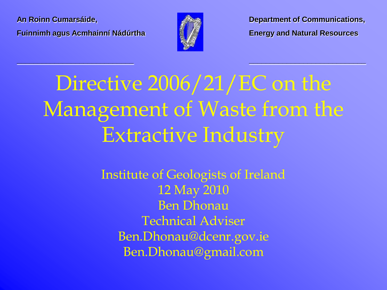**Fuinnimh agus Acmhainní Nádúrtha Energy and Natural Resources**



**\_\_\_\_\_\_\_\_\_\_\_\_\_\_\_\_\_\_\_\_\_\_\_\_\_\_\_\_ \_\_\_\_\_\_\_\_\_\_\_\_\_\_\_\_\_\_\_\_\_\_\_\_\_\_\_\_**

**An Roinn Cumarsáide, Department of Communications,**

## Directive 2006/21/EC on the Management of Waste from the Extractive Industry

Institute of Geologists of Ireland 12 May 2010 Ben Dhonau Technical Adviser Ben.Dhonau@dcenr.gov.ie Ben.Dhonau@gmail.com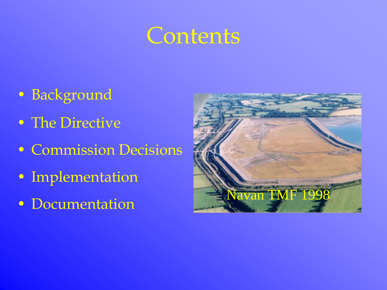### **Contents**

- Background
- The Directive
- Commission Decisions
- Implementation
- 

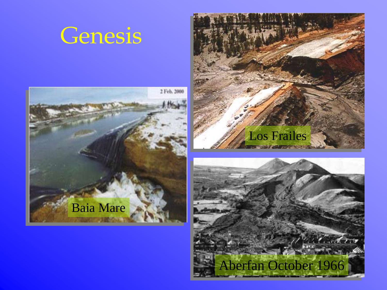#### **Genesis**





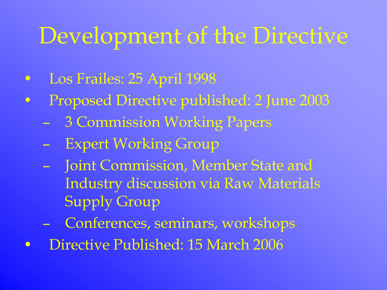## Development of the Directive

- Los Frailes: 25 April 1998
- Proposed Directive published: 2 June 2003
	- 3 Commission Working Papers
	- Expert Working Group
	- Joint Commission, Member State and Industry discussion via Raw Materials Supply Group
	- Conferences, seminars, workshops
- Directive Published: 15 March 2006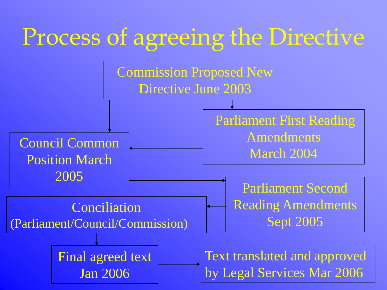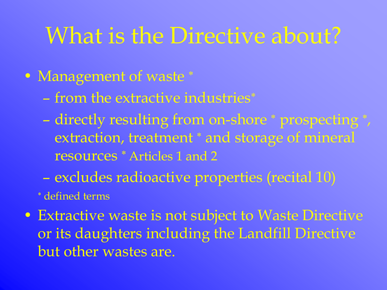### What is the Directive about?

#### • Management of waste \*

- from the extractive industries
- directly resulting from on-shore \* prospecting \*, extraction, treatment \* and storage of mineral resources \* Articles 1 and 2
- excludes radioactive properties (recital 10)

#### defined terms

• Extractive waste is not subject to Waste Directive or its daughters including the Landfill Directive but other wastes are.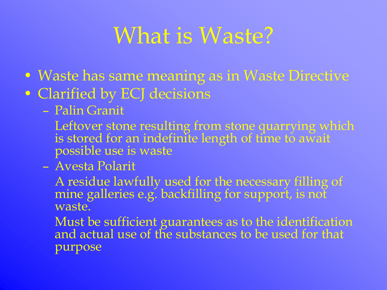### What is Waste?

- Waste has same meaning as in Waste Directive
- Clarified by ECJ decisions
	- Palin Granit
		- Leftover stone resulting from stone quarrying which is stored for an indefinite length of time to await possible use is waste
	- Avesta Polarit

A residue lawfully used for the necessary filling of mine galleries e.g. backfilling for support, is not waste.

Must be sufficient guarantees as to the identification and actual use of the substances to be used for that purpose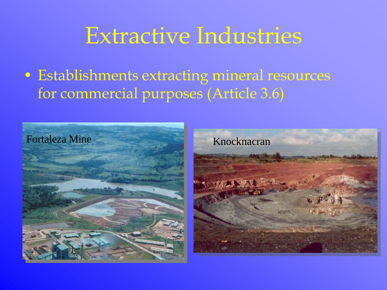#### Extractive Industries

• Establishments extracting mineral resources for commercial purposes (Article 3.6)



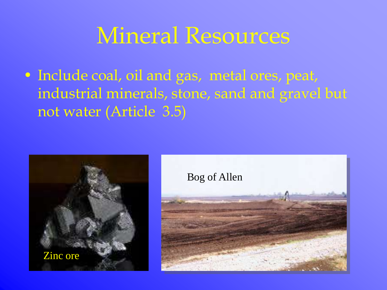#### Mineral Resources

• Include coal, oil and gas, metal ores, peat, industrial minerals, stone, sand and gravel but not water (Article 3.5)

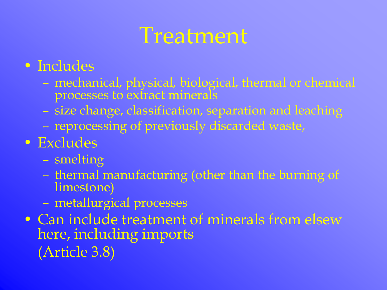#### **Treatment**

#### • Includes

- mechanical, physical*,* biological, thermal or chemical processes to extract minerals
- size change, classification, separation and leaching
- reprocessing of previously discarded waste,

#### • Excludes

- smelting
- thermal manufacturing (other than the burning of limestone)
- metallurgical processes
- Can include treatment of minerals from elsew here, including imports (Article 3.8)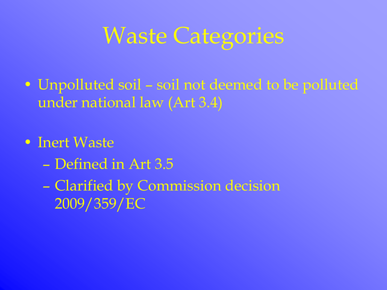## Waste Categories

- Unpolluted soil soil not deemed to be polluted under national law (Art 3.4)
- Inert Waste
	- Defined in Art 3.5
	- Clarified by Commission decision 2009/359/EC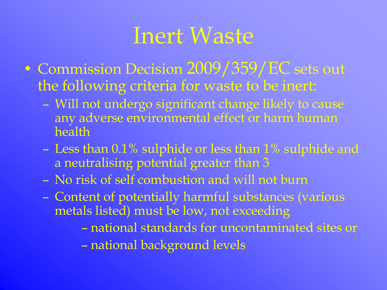#### Inert Waste

- Commission Decision 2009/359/EC sets out the following criteria for waste to be inert:
	- Will not undergo significant change likely to cause any adverse environmental effect or harm human health
	- Less than 0.1% sulphide or less than 1% sulphide and a neutralising potential greater than 3
	- No risk of self combustion and will not burn
	- Content of potentially harmful substances (various metals listed) must be low, not exceeding
		- national standards for uncontaminated sites or
		- national background levels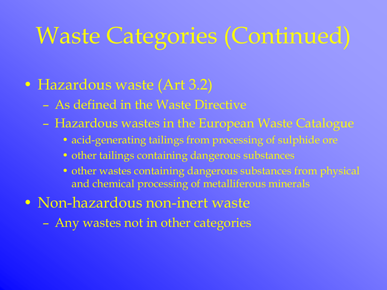## Waste Categories (Continued)

#### • Hazardous waste (Art 3.2)

- As defined in the Waste Directive
- Hazardous wastes in the European Waste Catalogue
	- acid-generating tailings from processing of sulphide ore
	- other tailings containing dangerous substances
	- other wastes containing dangerous substances from physical and chemical processing of metalliferous minerals
- Non-hazardous non-inert waste
	- Any wastes not in other categories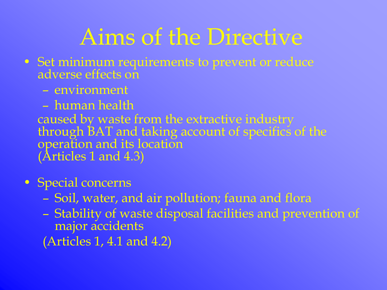## Aims of the Directive

- Set minimum requirements to prevent or reduce adverse effects on
	- environment
	- human health

caused by waste from the extractive industry through BAT and taking account of specifics of the operation and its location (Articles 1 and 4.3)

- Special concerns
	- Soil, water, and air pollution; fauna and flora
	- Stability of waste disposal facilities and prevention of major accidents
	- (Articles 1, 4.1 and 4.2)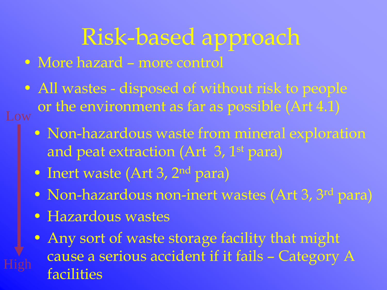### Risk-based approach

- More hazard more control
- All wastes disposed of without risk to people  $_{\text{Low}}$  or the environment as far as possible (Art 4.1)
	- Non-hazardous waste from mineral exploration and peat extraction (Art 3, 1<sup>st</sup> para)
	- Inert waste (Art 3, 2<sup>nd</sup> para)
	- Non-hazardous non-inert wastes (Art 3, 3<sup>rd</sup> para)
	- Hazardous wastes
	- Any sort of waste storage facility that might cause a serious accident if it fails – Category A facilities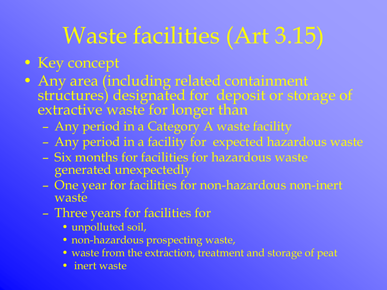## Waste facilities (Art 3.15)

#### • Key concept

- Any area (including related containment structures) designated for deposit or storage of extractive waste for longer than
	- Any period in a Category A waste facility
	- Any period in a facility for expected hazardous waste
	- Six months for facilities for hazardous waste generated unexpectedly
	- One year for facilities for non-hazardous non-inert waste
	- Three years for facilities for
		- unpolluted soil,
		- non-hazardous prospecting waste,
		- waste from the extraction, treatment and storage of peat
		- inert waste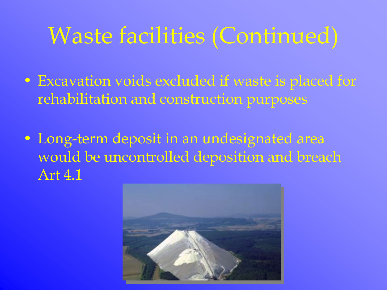### Waste facilities (Continued)

- Excavation voids excluded if waste is placed for rehabilitation and construction purposes
- Long-term deposit in an undesignated area would be uncontrolled deposition and breach Art 4.1

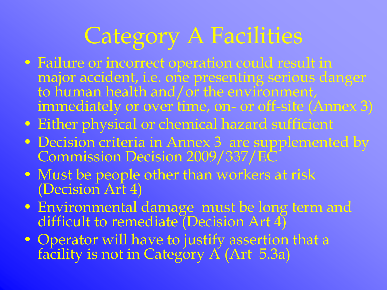## Category A Facilities

- Failure or incorrect operation could result in major accident, i.e. one presenting serious danger to human health and/or the environment, immediately or over time, on- or off-site (Annex 3)
- Either physical or chemical hazard sufficient
- Decision criteria in Annex 3 are supplemented by Commission Decision 2009/337/EC
- Must be people other than workers at risk (Decision Art 4)
- Environmental damage must be long term and difficult to remediate (Decision Art 4)
- Operator will have to justify assertion that a facility is not in Category A (Art 5.3a)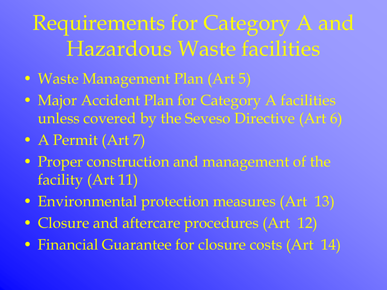Requirements for Category A and Hazardous Waste facilities

- Waste Management Plan (Art 5)
- Major Accident Plan for Category A facilities unless covered by the Seveso Directive (Art 6)
- A Permit (Art 7)
- Proper construction and management of the facility (Art 11)
- Environmental protection measures (Art 13)
- Closure and aftercare procedures (Art 12)
- Financial Guarantee for closure costs (Art 14)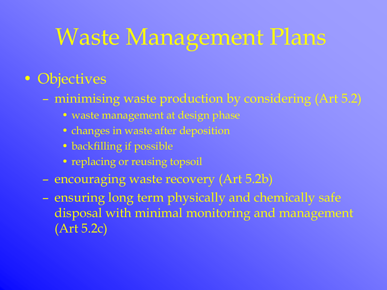## Waste Management Plans

#### • Objectives

- minimising waste production by considering (Art 5.2)
	- waste management at design phase
	- changes in waste after deposition
	- backfilling if possible
	- replacing or reusing topsoil
- encouraging waste recovery (Art 5.2b)
- ensuring long term physically and chemically safe disposal with minimal monitoring and management (Art 5.2c)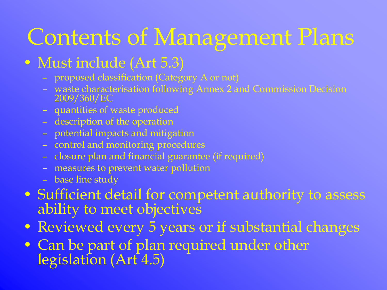## Contents of Management Plans

#### • Must include (Art 5.3)

- proposed classification (Category A or not)
- waste characterisation following Annex 2 and Commission Decision 2009/360/EC
- quantities of waste produced
- description of the operation
- potential impacts and mitigation
- control and monitoring procedures
- closure plan and financial guarantee (if required)
- measures to prevent water pollution
- base line study
- Sufficient detail for competent authority to assess ability to meet objectives
- Reviewed every 5 years or if substantial changes
- Can be part of plan required under other legislation (Art 4.5)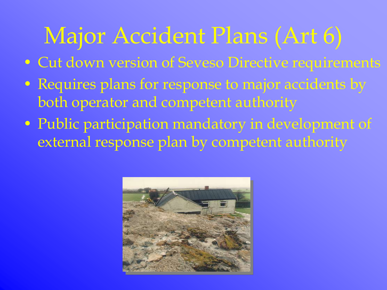## Major Accident Plans (Art 6)

- Cut down version of Seveso Directive requirements
- Requires plans for response to major accidents by both operator and competent authority
- Public participation mandatory in development of external response plan by competent authority

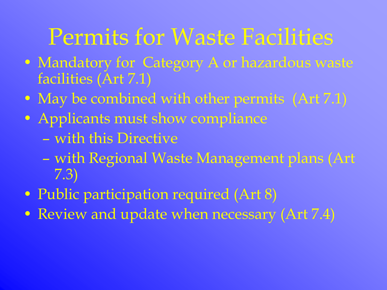## Permits for Waste Facilities

- Mandatory for Category A or hazardous waste facilities (Art 7.1)
- May be combined with other permits (Art 7.1)
- Applicants must show compliance
	- with this Directive
	- with Regional Waste Management plans (Art 7.3)
- Public participation required (Art 8)
- Review and update when necessary (Art 7.4)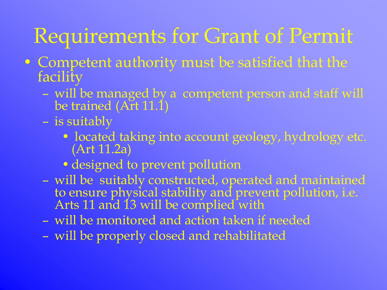#### Requirements for Grant of Permit

- Competent authority must be satisfied that the facility
	- will be managed by a competent person and staff will be trained (Art 11.1)
	- is suitably
		- located taking into account geology, hydrology etc. (Art 11.2a)
		- designed to prevent pollution
	- will be suitably constructed, operated and maintained to ensure physical stability and prevent pollution, i.e. Arts 11 and 13 will be complied with
	- will be monitored and action taken if needed
	- will be properly closed and rehabilitated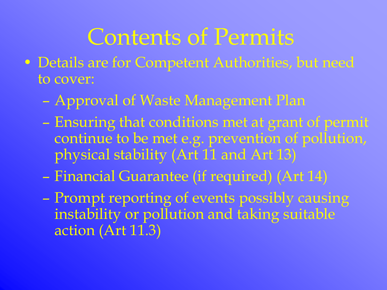## Contents of Permits

- Details are for Competent Authorities, but need to cover:
	- Approval of Waste Management Plan
	- Ensuring that conditions met at grant of permit continue to be met e.g. prevention of pollution, physical stability (Art 11 and Art 13)
	- Financial Guarantee (if required) (Art 14)
	- Prompt reporting of events possibly causing instability or pollution and taking suitable action (Art 11.3)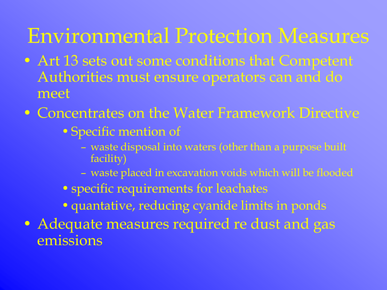#### Environmental Protection Measures

- Art 13 sets out some conditions that Competent Authorities must ensure operators can and do meet
- Concentrates on the Water Framework Directive
	- •Specific mention of
		- waste disposal into waters (other than a purpose built facility)
		- waste placed in excavation voids which will be flooded
	- specific requirements for leachates
	- •quantative, reducing cyanide limits in ponds
- Adequate measures required re dust and gas emissions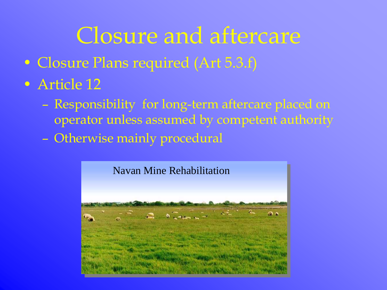## Closure and aftercare

- Closure Plans required (Art 5.3.f)
- Article 12
	- Responsibility for long-term aftercare placed on operator unless assumed by competent authority
	- Otherwise mainly procedural

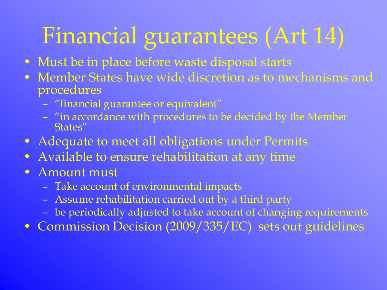## Financial guarantees (Art 14)

- Must be in place before waste disposal starts
- Member States have wide discretion as to mechanisms and procedures
	- "financial guarantee or equivalent"
	- "in accordance with procedures to be decided by the Member States"
- Adequate to meet all obligations under Permits
- Available to ensure rehabilitation at any time
- Amount must
	- Take account of environmental impacts
	- Assume rehabilitation carried out by a third party
	- be periodically adjusted to take account of changing requirements
- Commission Decision (2009/335/EC) sets out guidelines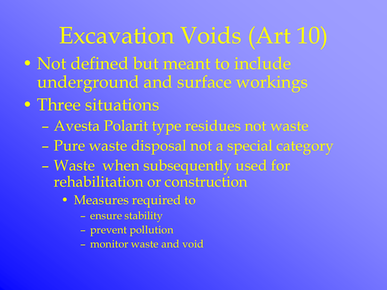### Excavation Voids (Art 10)

- Not defined but meant to include underground and surface workings
- Three situations
	- Avesta Polarit type residues not waste
	- Pure waste disposal not a special category
	- Waste when subsequently used for rehabilitation or construction
		- Measures required to
			- ensure stability
			- prevent pollution
			- monitor waste and void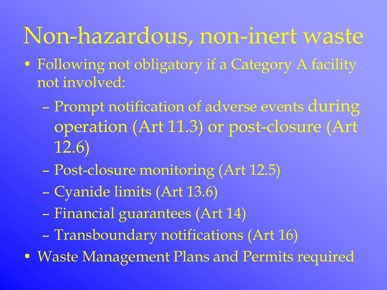#### Non-hazardous, non-inert waste

- Following not obligatory if a Category A facility not involved:
	- Prompt notification of adverse events during operation (Art 11.3) or post-closure (Art 12.6)
	- Post-closure monitoring (Art 12.5)
	- Cyanide limits (Art 13.6)
	- Financial guarantees (Art 14)
	- Transboundary notifications (Art 16)
- Waste Management Plans and Permits required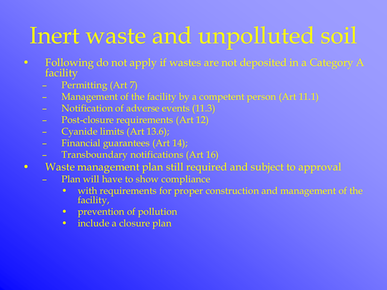## Inert waste and unpolluted soil

- Following do not apply if wastes are not deposited in a Category A facility
	- Permitting (Art 7)
	- Management of the facility by a competent person (Art 11.1)
	- Notification of adverse events (11.3)
	- Post-closure requirements (Art 12)
	- Cyanide limits (Art 13.6);
	- Financial guarantees (Art 14);
	- Transboundary notifications (Art 16)
- Waste management plan still required and subject to approval
	- Plan will have to show compliance
		- with requirements for proper construction and management of the facility,
		- prevention of pollution
		- include a closure plan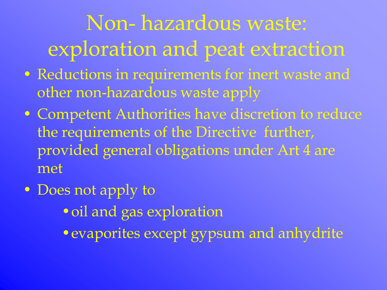## Non- hazardous waste: exploration and peat extraction

- Reductions in requirements for inert waste and other non-hazardous waste apply
- Competent Authorities have discretion to reduce the requirements of the Directive further, provided general obligations under Art 4 are met
- Does not apply to •oil and gas exploration •evaporites except gypsum and anhydrite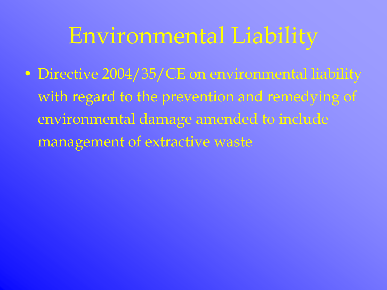## Environmental Liability

• Directive 2004/35/CE on environmental liability with regard to the prevention and remedying of environmental damage amended to include management of extractive waste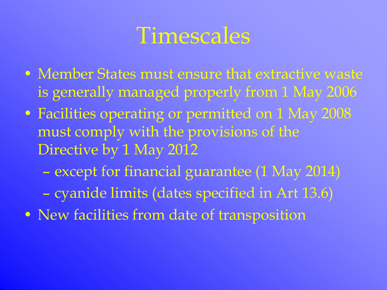#### **Timescales**

- Member States must ensure that extractive waste is generally managed properly from 1 May 2006
- Facilities operating or permitted on 1 May 2008 must comply with the provisions of the Directive by 1 May 2012
	- except for financial guarantee (1 May 2014)
	- cyanide limits (dates specified in Art 13.6)
- New facilities from date of transposition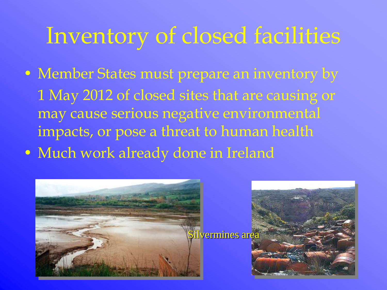### Inventory of closed facilities

- Member States must prepare an inventory by 1 May 2012 of closed sites that are causing or
	- may cause serious negative environmental impacts, or pose a threat to human health
- Much work already done in Ireland

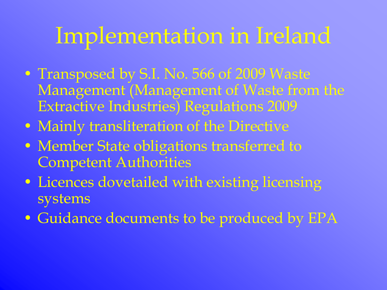### Implementation in Ireland

- Transposed by S.I. No. 566 of 2009 Waste Management (Management of Waste from the Extractive Industries) Regulations 2009
- Mainly transliteration of the Directive
- Member State obligations transferred to Competent Authorities
- Licences dovetailed with existing licensing systems
- Guidance documents to be produced by EPA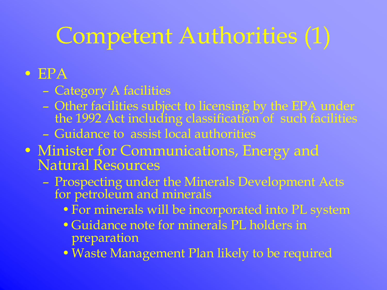## Competent Authorities (1)

#### • EPA

- Category A facilities
- Other facilities subject to licensing by the EPA under the 1992 Act including classification of such facilities
- Guidance to assist local authorities
- Minister for Communications, Energy and Natural Resources
	- Prospecting under the Minerals Development Acts for petroleum and minerals
		- •For minerals will be incorporated into PL system
		- •Guidance note for minerals PL holders in preparation
		- •Waste Management Plan likely to be required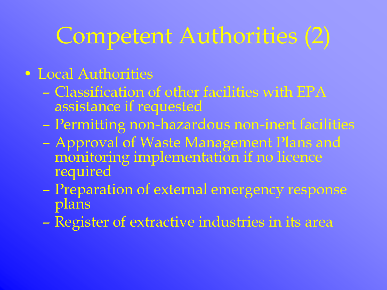## Competent Authorities (2)

#### • Local Authorities

- Classification of other facilities with EPA assistance if requested
- Permitting non-hazardous non-inert facilities
- Approval of Waste Management Plans and monitoring implementation if no licence required
- Preparation of external emergency response plans
- Register of extractive industries in its area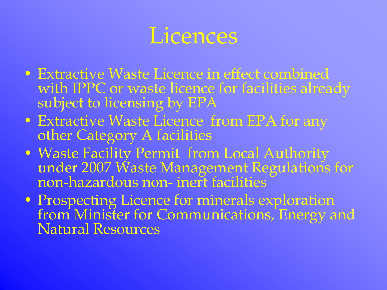#### Licences

- Extractive Waste Licence in effect combined with IPPC or waste licence for facilities already subject to licensing by EPA
- Extractive Waste Licence from EPA for any other Category A facilities
- Waste Facility Permit from Local Authority under 2007 Waste Management Regulations for non-hazardous non- inert facilities
- Prospecting Licence for minerals exploration from Minister for Communications, Energy and Natural Resources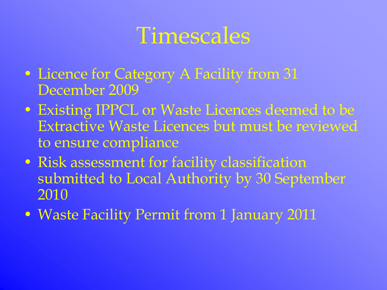### Timescales

- Licence for Category A Facility from 31 December 2009
- Existing IPPCL or Waste Licences deemed to be Extractive Waste Licences but must be reviewed to ensure compliance
- Risk assessment for facility classification submitted to Local Authority by 30 September 2010
- Waste Facility Permit from 1 January 2011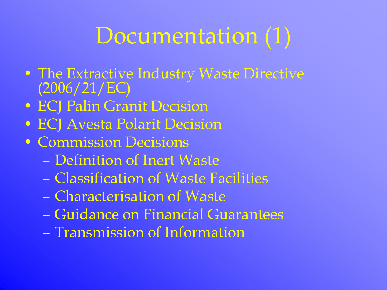# Documentation (1)

- The Extractive Industry Waste Directive (2006/21/EC)
- ECJ Palin Granit Decision
- ECJ Avesta Polarit Decision
- Commission Decisions
	- Definition of Inert Waste
	- Classification of Waste Facilities
	- Characterisation of Waste
	- Guidance on Financial Guarantees
	- Transmission of Information